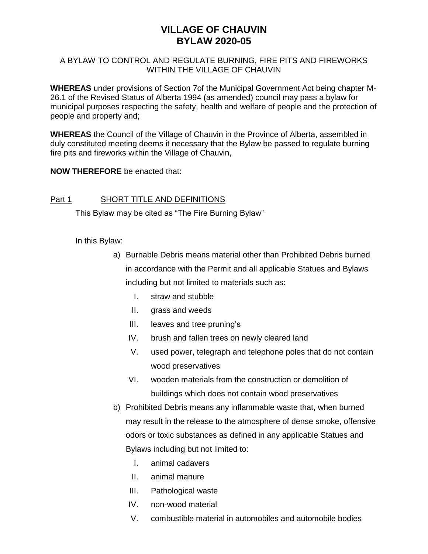# **VILLAGE OF CHAUVIN BYLAW 2020-05**

### A BYLAW TO CONTROL AND REGULATE BURNING, FIRE PITS AND FIREWORKS WITHIN THE VILLAGE OF CHAUVIN

**WHEREAS** under provisions of Section 7of the Municipal Government Act being chapter M-26.1 of the Revised Status of Alberta 1994 (as amended) council may pass a bylaw for municipal purposes respecting the safety, health and welfare of people and the protection of people and property and;

**WHEREAS** the Council of the Village of Chauvin in the Province of Alberta, assembled in duly constituted meeting deems it necessary that the Bylaw be passed to regulate burning fire pits and fireworks within the Village of Chauvin,

**NOW THEREFORE** be enacted that:

## Part 1 SHORT TITLE AND DEFINITIONS

This Bylaw may be cited as "The Fire Burning Bylaw"

In this Bylaw:

- a) Burnable Debris means material other than Prohibited Debris burned in accordance with the Permit and all applicable Statues and Bylaws including but not limited to materials such as:
	- I. straw and stubble
	- II. grass and weeds
	- III. leaves and tree pruning's
	- IV. brush and fallen trees on newly cleared land
	- V. used power, telegraph and telephone poles that do not contain wood preservatives
	- VI. wooden materials from the construction or demolition of buildings which does not contain wood preservatives
- b) Prohibited Debris means any inflammable waste that, when burned may result in the release to the atmosphere of dense smoke, offensive odors or toxic substances as defined in any applicable Statues and Bylaws including but not limited to:
	- I. animal cadavers
	- II. animal manure
	- III. Pathological waste
	- IV. non-wood material
	- V. combustible material in automobiles and automobile bodies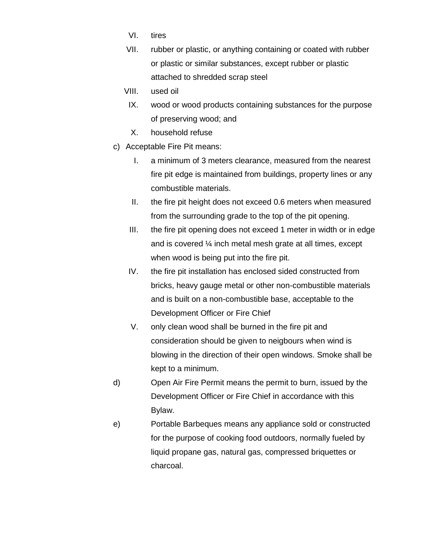- VI. tires
- VII. rubber or plastic, or anything containing or coated with rubber or plastic or similar substances, except rubber or plastic attached to shredded scrap steel
- VIII. used oil
- IX. wood or wood products containing substances for the purpose of preserving wood; and
- X. household refuse
- c) Acceptable Fire Pit means:
	- I. a minimum of 3 meters clearance, measured from the nearest fire pit edge is maintained from buildings, property lines or any combustible materials.
	- II. the fire pit height does not exceed 0.6 meters when measured from the surrounding grade to the top of the pit opening.
	- III. the fire pit opening does not exceed 1 meter in width or in edge and is covered ¼ inch metal mesh grate at all times, except when wood is being put into the fire pit.
	- IV. the fire pit installation has enclosed sided constructed from bricks, heavy gauge metal or other non-combustible materials and is built on a non-combustible base, acceptable to the Development Officer or Fire Chief
	- V. only clean wood shall be burned in the fire pit and consideration should be given to neigbours when wind is blowing in the direction of their open windows. Smoke shall be kept to a minimum.
- d) Open Air Fire Permit means the permit to burn, issued by the Development Officer or Fire Chief in accordance with this Bylaw.
- e) Portable Barbeques means any appliance sold or constructed for the purpose of cooking food outdoors, normally fueled by liquid propane gas, natural gas, compressed briquettes or charcoal.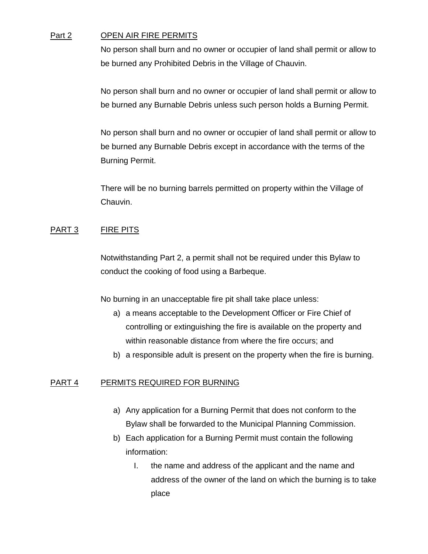#### Part 2 OPEN AIR FIRE PERMITS

No person shall burn and no owner or occupier of land shall permit or allow to be burned any Prohibited Debris in the Village of Chauvin.

No person shall burn and no owner or occupier of land shall permit or allow to be burned any Burnable Debris unless such person holds a Burning Permit.

No person shall burn and no owner or occupier of land shall permit or allow to be burned any Burnable Debris except in accordance with the terms of the Burning Permit.

There will be no burning barrels permitted on property within the Village of Chauvin.

### PART 3 FIRE PITS

Notwithstanding Part 2, a permit shall not be required under this Bylaw to conduct the cooking of food using a Barbeque.

No burning in an unacceptable fire pit shall take place unless:

- a) a means acceptable to the Development Officer or Fire Chief of controlling or extinguishing the fire is available on the property and within reasonable distance from where the fire occurs; and
- b) a responsible adult is present on the property when the fire is burning.

## PART 4 PERMITS REQUIRED FOR BURNING

- a) Any application for a Burning Permit that does not conform to the Bylaw shall be forwarded to the Municipal Planning Commission.
- b) Each application for a Burning Permit must contain the following information:
	- I. the name and address of the applicant and the name and address of the owner of the land on which the burning is to take place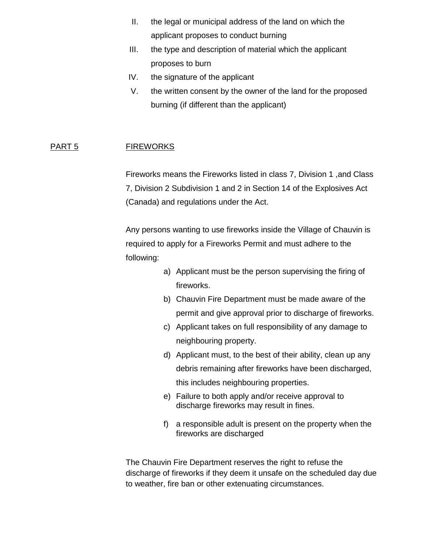- II. the legal or municipal address of the land on which the applicant proposes to conduct burning
- III. the type and description of material which the applicant proposes to burn
- IV. the signature of the applicant
- V. the written consent by the owner of the land for the proposed burning (if different than the applicant)

## PART 5 FIREWORKS

Fireworks means the Fireworks listed in class 7, Division 1 ,and Class 7, Division 2 Subdivision 1 and 2 in Section 14 of the Explosives Act (Canada) and regulations under the Act.

Any persons wanting to use fireworks inside the Village of Chauvin is required to apply for a Fireworks Permit and must adhere to the following:

- a) Applicant must be the person supervising the firing of fireworks.
- b) Chauvin Fire Department must be made aware of the permit and give approval prior to discharge of fireworks.
- c) Applicant takes on full responsibility of any damage to neighbouring property.
- d) Applicant must, to the best of their ability, clean up any debris remaining after fireworks have been discharged, this includes neighbouring properties.
- e) Failure to both apply and/or receive approval to discharge fireworks may result in fines.
- f) a responsible adult is present on the property when the fireworks are discharged

The Chauvin Fire Department reserves the right to refuse the discharge of fireworks if they deem it unsafe on the scheduled day due to weather, fire ban or other extenuating circumstances.